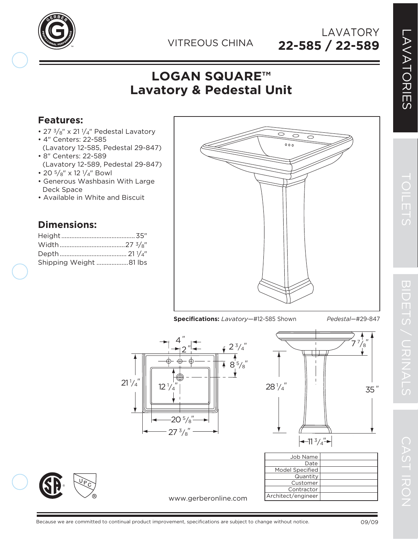

**22-585 / 22-589** LAVATORY

## **LOGAN SQUARE™ Lavatory & Pedestal Unit**

## **Features:**

- 27  $\frac{3}{8}$ " x 21  $\frac{1}{4}$ " Pedestal Lavatory
- 4" Centers: 22-585
- (Lavatory 12-585, Pedestal 29-847) • 8" Centers: 22-589
- (Lavatory 12-589, Pedestal 29-847)
- 20  $5\frac{'}{8}$ " x 12  $\frac{1}{4}$ " Bowl
- Generous Washbasin With Large Deck Space
- Available in White and Biscuit

## **Dimensions:**

| Shipping Weight 81 lbs |  |
|------------------------|--|











| Job Name           |
|--------------------|
| Date               |
| Model Specified    |
| Quantity           |
| Customer           |
| Contractor         |
| Architect/engineer |
|                    |

www.gerberonline.com